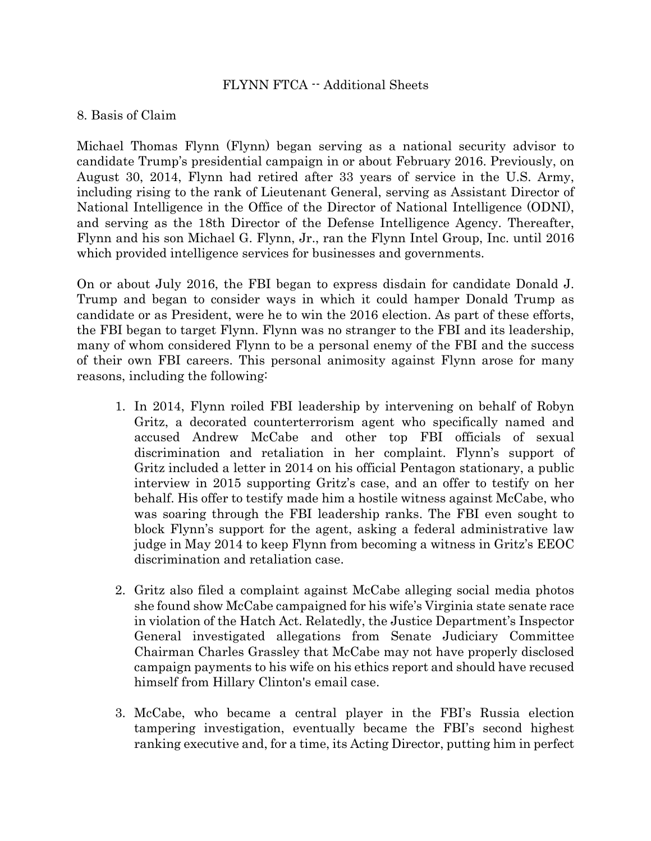## FLYNN FTCA -- Additional Sheets

## 8. Basis of Claim

Michael Thomas Flynn (Flynn) began serving as a national security advisor to candidate Trump's presidential campaign in or about February 2016. Previously, on August 30, 2014, Flynn had retired after 33 years of service in the U.S. Army, including rising to the rank of Lieutenant General, serving as Assistant Director of National Intelligence in the Office of the Director of National Intelligence (ODNI), and serving as the 18th Director of the Defense Intelligence Agency. Thereafter, Flynn and his son Michael G. Flynn, Jr., ran the Flynn Intel Group, Inc. until 2016 which provided intelligence services for businesses and governments.

On or about July 2016, the FBI began to express disdain for candidate Donald J. Trump and began to consider ways in which it could hamper Donald Trump as candidate or as President, were he to win the 2016 election. As part of these efforts, the FBI began to target Flynn. Flynn was no stranger to the FBI and its leadership, many of whom considered Flynn to be a personal enemy of the FBI and the success of their own FBI careers. This personal animosity against Flynn arose for many reasons, including the following:

- 1. In 2014, Flynn roiled FBI leadership by intervening on behalf of Robyn Gritz, a decorated counterterrorism agent who specifically named and accused Andrew McCabe and other top FBI officials of sexual discrimination and retaliation in her complaint. Flynn's support of Gritz included a letter in 2014 on his official Pentagon stationary, a public interview in 2015 supporting Gritz's case, and an offer to testify on her behalf. His offer to testify made him a hostile witness against McCabe, who was soaring through the FBI leadership ranks. The FBI even sought to block Flynn's support for the agent, asking a federal administrative law judge in May 2014 to keep Flynn from becoming a witness in Gritz's EEOC discrimination and retaliation case.
- 2. Gritz also filed a complaint against McCabe alleging social media photos she found show McCabe campaigned for his wife's Virginia state senate race in violation of the Hatch Act. Relatedly, the Justice Department's Inspector General investigated allegations from Senate Judiciary Committee Chairman Charles Grassley that McCabe may not have properly disclosed campaign payments to his wife on his ethics report and should have recused himself from Hillary Clinton's email case.
- 3. McCabe, who became a central player in the FBI's Russia election tampering investigation, eventually became the FBI's second highest ranking executive and, for a time, its Acting Director, putting him in perfect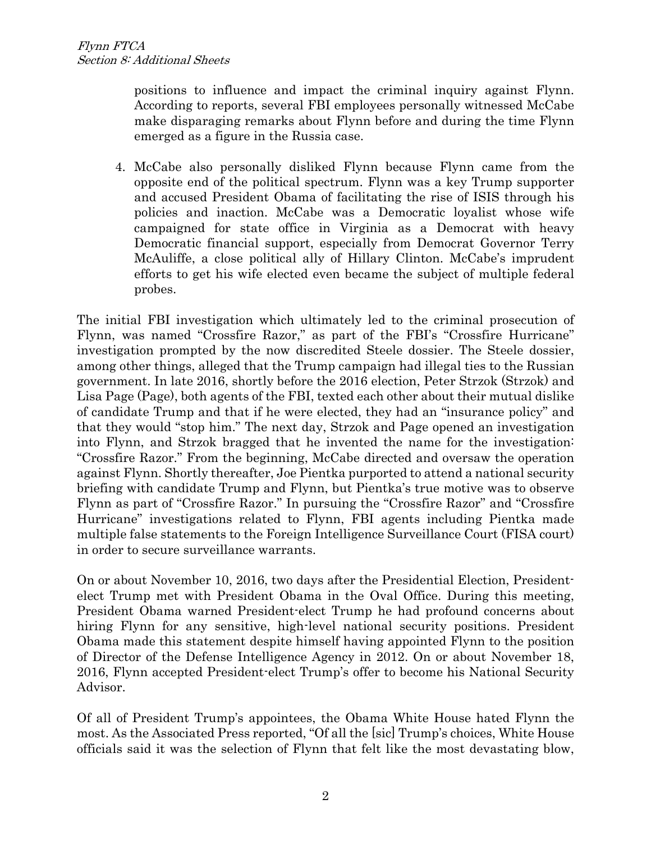positions to influence and impact the criminal inquiry against Flynn. According to reports, several FBI employees personally witnessed McCabe make disparaging remarks about Flynn before and during the time Flynn emerged as a figure in the Russia case.

4. McCabe also personally disliked Flynn because Flynn came from the opposite end of the political spectrum. Flynn was a key Trump supporter and accused President Obama of facilitating the rise of ISIS through his policies and inaction. McCabe was a Democratic loyalist whose wife campaigned for state office in Virginia as a Democrat with heavy Democratic financial support, especially from Democrat Governor Terry McAuliffe, a close political ally of Hillary Clinton. McCabe's imprudent efforts to get his wife elected even became the subject of multiple federal probes.

The initial FBI investigation which ultimately led to the criminal prosecution of Flynn, was named "Crossfire Razor," as part of the FBI's "Crossfire Hurricane" investigation prompted by the now discredited Steele dossier. The Steele dossier, among other things, alleged that the Trump campaign had illegal ties to the Russian government. In late 2016, shortly before the 2016 election, Peter Strzok (Strzok) and Lisa Page (Page), both agents of the FBI, texted each other about their mutual dislike of candidate Trump and that if he were elected, they had an "insurance policy" and that they would "stop him." The next day, Strzok and Page opened an investigation into Flynn, and Strzok bragged that he invented the name for the investigation: "Crossfire Razor." From the beginning, McCabe directed and oversaw the operation against Flynn. Shortly thereafter, Joe Pientka purported to attend a national security briefing with candidate Trump and Flynn, but Pientka's true motive was to observe Flynn as part of "Crossfire Razor." In pursuing the "Crossfire Razor" and "Crossfire Hurricane" investigations related to Flynn, FBI agents including Pientka made multiple false statements to the Foreign Intelligence Surveillance Court (FISA court) in order to secure surveillance warrants.

On or about November 10, 2016, two days after the Presidential Election, Presidentelect Trump met with President Obama in the Oval Office. During this meeting, President Obama warned President-elect Trump he had profound concerns about hiring Flynn for any sensitive, high-level national security positions. President Obama made this statement despite himself having appointed Flynn to the position of Director of the Defense Intelligence Agency in 2012. On or about November 18, 2016, Flynn accepted President-elect Trump's offer to become his National Security Advisor.

Of all of President Trump's appointees, the Obama White House hated Flynn the most. As the Associated Press reported, "Of all the [sic] Trump's choices, White House officials said it was the selection of Flynn that felt like the most devastating blow,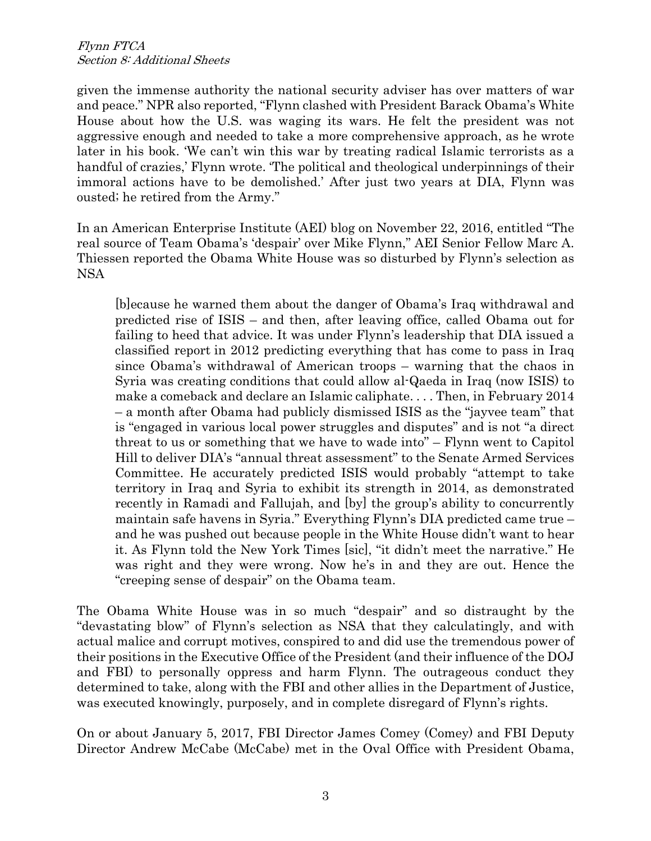given the immense authority the national security adviser has over matters of war and peace." NPR also reported, "Flynn clashed with President Barack Obama's White House about how the U.S. was waging its wars. He felt the president was not aggressive enough and needed to take a more comprehensive approach, as he wrote later in his book. 'We can't win this war by treating radical Islamic terrorists as a handful of crazies,' Flynn wrote. 'The political and theological underpinnings of their immoral actions have to be demolished.' After just two years at DIA, Flynn was ousted; he retired from the Army."

In an American Enterprise Institute (AEI) blog on November 22, 2016, entitled "The real source of Team Obama's 'despair' over Mike Flynn," AEI Senior Fellow Marc A. Thiessen reported the Obama White House was so disturbed by Flynn's selection as NSA

[b]ecause he warned them about the danger of Obama's Iraq withdrawal and predicted rise of ISIS – and then, after leaving office, called Obama out for failing to heed that advice. It was under Flynn's leadership that DIA issued a classified report in 2012 predicting everything that has come to pass in Iraq since Obama's withdrawal of American troops – warning that the chaos in Syria was creating conditions that could allow al-Qaeda in Iraq (now ISIS) to make a comeback and declare an Islamic caliphate. . . . Then, in February 2014 – a month after Obama had publicly dismissed ISIS as the "jayvee team" that is "engaged in various local power struggles and disputes" and is not "a direct threat to us or something that we have to wade into" – Flynn went to Capitol Hill to deliver DIA's "annual threat assessment" to the Senate Armed Services Committee. He accurately predicted ISIS would probably "attempt to take territory in Iraq and Syria to exhibit its strength in 2014, as demonstrated recently in Ramadi and Fallujah, and [by] the group's ability to concurrently maintain safe havens in Syria." Everything Flynn's DIA predicted came true – and he was pushed out because people in the White House didn't want to hear it. As Flynn told the New York Times [sic], "it didn't meet the narrative." He was right and they were wrong. Now he's in and they are out. Hence the "creeping sense of despair" on the Obama team.

The Obama White House was in so much "despair" and so distraught by the "devastating blow" of Flynn's selection as NSA that they calculatingly, and with actual malice and corrupt motives, conspired to and did use the tremendous power of their positions in the Executive Office of the President (and their influence of the DOJ and FBI) to personally oppress and harm Flynn. The outrageous conduct they determined to take, along with the FBI and other allies in the Department of Justice, was executed knowingly, purposely, and in complete disregard of Flynn's rights.

On or about January 5, 2017, FBI Director James Comey (Comey) and FBI Deputy Director Andrew McCabe (McCabe) met in the Oval Office with President Obama,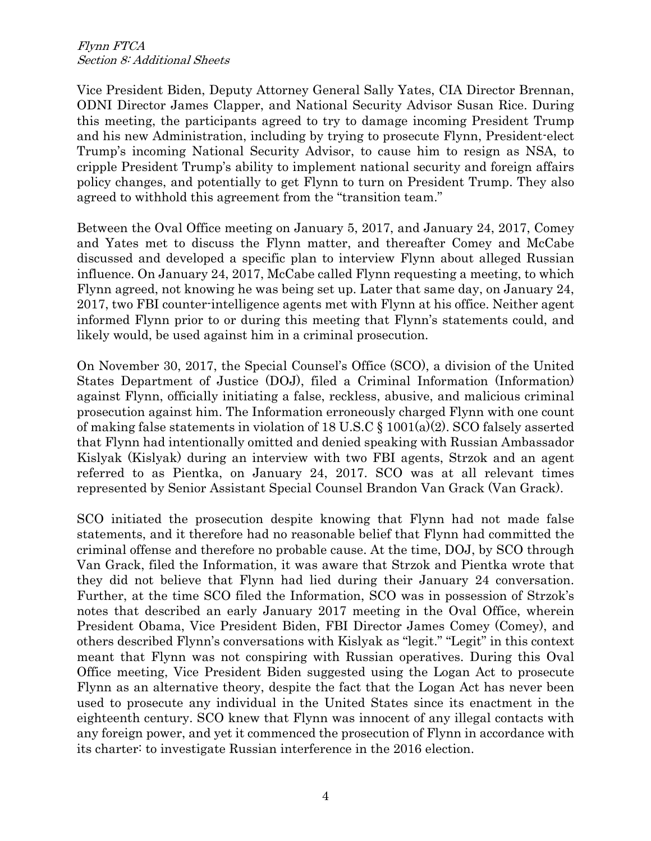Vice President Biden, Deputy Attorney General Sally Yates, CIA Director Brennan, ODNI Director James Clapper, and National Security Advisor Susan Rice. During this meeting, the participants agreed to try to damage incoming President Trump and his new Administration, including by trying to prosecute Flynn, President-elect Trump's incoming National Security Advisor, to cause him to resign as NSA, to cripple President Trump's ability to implement national security and foreign affairs policy changes, and potentially to get Flynn to turn on President Trump. They also agreed to withhold this agreement from the "transition team."

Between the Oval Office meeting on January 5, 2017, and January 24, 2017, Comey and Yates met to discuss the Flynn matter, and thereafter Comey and McCabe discussed and developed a specific plan to interview Flynn about alleged Russian influence. On January 24, 2017, McCabe called Flynn requesting a meeting, to which Flynn agreed, not knowing he was being set up. Later that same day, on January 24, 2017, two FBI counter-intelligence agents met with Flynn at his office. Neither agent informed Flynn prior to or during this meeting that Flynn's statements could, and likely would, be used against him in a criminal prosecution.

On November 30, 2017, the Special Counsel's Office (SCO), a division of the United States Department of Justice (DOJ), filed a Criminal Information (Information) against Flynn, officially initiating a false, reckless, abusive, and malicious criminal prosecution against him. The Information erroneously charged Flynn with one count of making false statements in violation of 18 U.S.C § 1001(a)(2). SCO falsely asserted that Flynn had intentionally omitted and denied speaking with Russian Ambassador Kislyak (Kislyak) during an interview with two FBI agents, Strzok and an agent referred to as Pientka, on January 24, 2017. SCO was at all relevant times represented by Senior Assistant Special Counsel Brandon Van Grack (Van Grack).

SCO initiated the prosecution despite knowing that Flynn had not made false statements, and it therefore had no reasonable belief that Flynn had committed the criminal offense and therefore no probable cause. At the time, DOJ, by SCO through Van Grack, filed the Information, it was aware that Strzok and Pientka wrote that they did not believe that Flynn had lied during their January 24 conversation. Further, at the time SCO filed the Information, SCO was in possession of Strzok's notes that described an early January 2017 meeting in the Oval Office, wherein President Obama, Vice President Biden, FBI Director James Comey (Comey), and others described Flynn's conversations with Kislyak as "legit." "Legit" in this context meant that Flynn was not conspiring with Russian operatives. During this Oval Office meeting, Vice President Biden suggested using the Logan Act to prosecute Flynn as an alternative theory, despite the fact that the Logan Act has never been used to prosecute any individual in the United States since its enactment in the eighteenth century. SCO knew that Flynn was innocent of any illegal contacts with any foreign power, and yet it commenced the prosecution of Flynn in accordance with its charter: to investigate Russian interference in the 2016 election.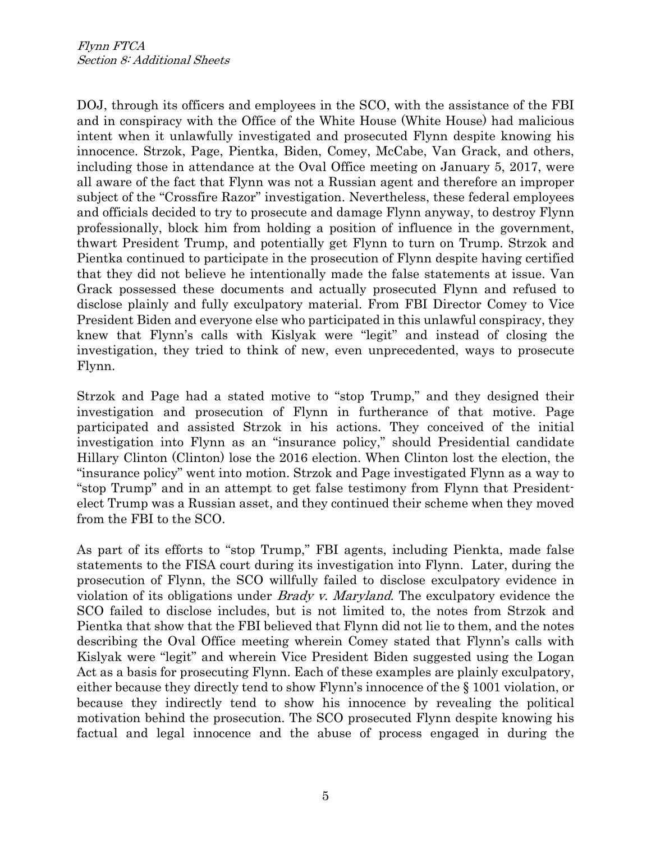DOJ, through its officers and employees in the SCO, with the assistance of the FBI and in conspiracy with the Office of the White House (White House) had malicious intent when it unlawfully investigated and prosecuted Flynn despite knowing his innocence. Strzok, Page, Pientka, Biden, Comey, McCabe, Van Grack, and others, including those in attendance at the Oval Office meeting on January 5, 2017, were all aware of the fact that Flynn was not a Russian agent and therefore an improper subject of the "Crossfire Razor" investigation. Nevertheless, these federal employees and officials decided to try to prosecute and damage Flynn anyway, to destroy Flynn professionally, block him from holding a position of influence in the government, thwart President Trump, and potentially get Flynn to turn on Trump. Strzok and Pientka continued to participate in the prosecution of Flynn despite having certified that they did not believe he intentionally made the false statements at issue. Van Grack possessed these documents and actually prosecuted Flynn and refused to disclose plainly and fully exculpatory material. From FBI Director Comey to Vice President Biden and everyone else who participated in this unlawful conspiracy, they knew that Flynn's calls with Kislyak were "legit" and instead of closing the investigation, they tried to think of new, even unprecedented, ways to prosecute Flynn.

Strzok and Page had a stated motive to "stop Trump," and they designed their investigation and prosecution of Flynn in furtherance of that motive. Page participated and assisted Strzok in his actions. They conceived of the initial investigation into Flynn as an "insurance policy," should Presidential candidate Hillary Clinton (Clinton) lose the 2016 election. When Clinton lost the election, the "insurance policy" went into motion. Strzok and Page investigated Flynn as a way to "stop Trump" and in an attempt to get false testimony from Flynn that Presidentelect Trump was a Russian asset, and they continued their scheme when they moved from the FBI to the SCO.

As part of its efforts to "stop Trump," FBI agents, including Pienkta, made false statements to the FISA court during its investigation into Flynn. Later, during the prosecution of Flynn, the SCO willfully failed to disclose exculpatory evidence in violation of its obligations under Brady v. Maryland. The exculpatory evidence the SCO failed to disclose includes, but is not limited to, the notes from Strzok and Pientka that show that the FBI believed that Flynn did not lie to them, and the notes describing the Oval Office meeting wherein Comey stated that Flynn's calls with Kislyak were "legit" and wherein Vice President Biden suggested using the Logan Act as a basis for prosecuting Flynn. Each of these examples are plainly exculpatory, either because they directly tend to show Flynn's innocence of the § 1001 violation, or because they indirectly tend to show his innocence by revealing the political motivation behind the prosecution. The SCO prosecuted Flynn despite knowing his factual and legal innocence and the abuse of process engaged in during the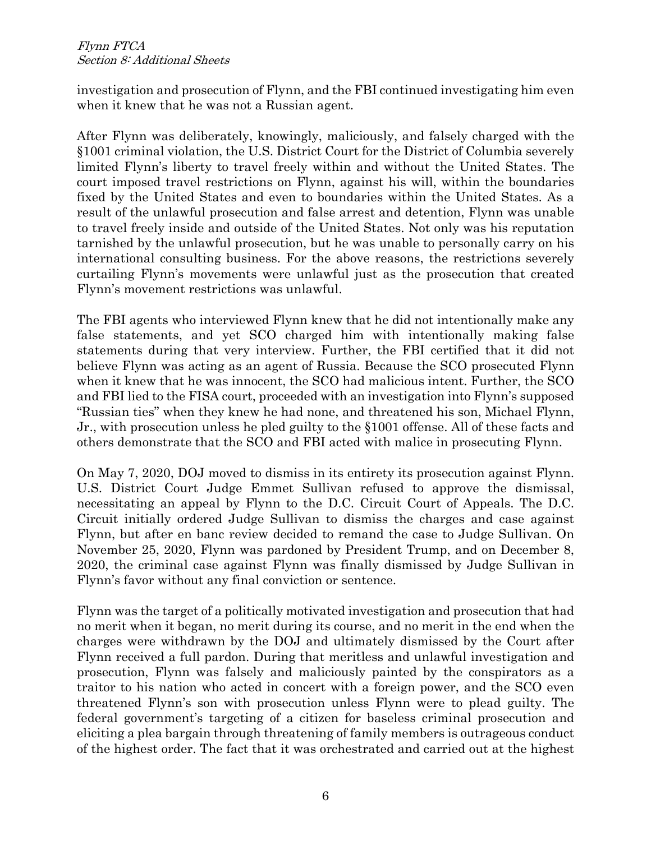investigation and prosecution of Flynn, and the FBI continued investigating him even when it knew that he was not a Russian agent.

After Flynn was deliberately, knowingly, maliciously, and falsely charged with the §1001 criminal violation, the U.S. District Court for the District of Columbia severely limited Flynn's liberty to travel freely within and without the United States. The court imposed travel restrictions on Flynn, against his will, within the boundaries fixed by the United States and even to boundaries within the United States. As a result of the unlawful prosecution and false arrest and detention, Flynn was unable to travel freely inside and outside of the United States. Not only was his reputation tarnished by the unlawful prosecution, but he was unable to personally carry on his international consulting business. For the above reasons, the restrictions severely curtailing Flynn's movements were unlawful just as the prosecution that created Flynn's movement restrictions was unlawful.

The FBI agents who interviewed Flynn knew that he did not intentionally make any false statements, and yet SCO charged him with intentionally making false statements during that very interview. Further, the FBI certified that it did not believe Flynn was acting as an agent of Russia. Because the SCO prosecuted Flynn when it knew that he was innocent, the SCO had malicious intent. Further, the SCO and FBI lied to the FISA court, proceeded with an investigation into Flynn's supposed "Russian ties" when they knew he had none, and threatened his son, Michael Flynn, Jr., with prosecution unless he pled guilty to the §1001 offense. All of these facts and others demonstrate that the SCO and FBI acted with malice in prosecuting Flynn.

On May 7, 2020, DOJ moved to dismiss in its entirety its prosecution against Flynn. U.S. District Court Judge Emmet Sullivan refused to approve the dismissal, necessitating an appeal by Flynn to the D.C. Circuit Court of Appeals. The D.C. Circuit initially ordered Judge Sullivan to dismiss the charges and case against Flynn, but after en banc review decided to remand the case to Judge Sullivan. On November 25, 2020, Flynn was pardoned by President Trump, and on December 8, 2020, the criminal case against Flynn was finally dismissed by Judge Sullivan in Flynn's favor without any final conviction or sentence.

Flynn was the target of a politically motivated investigation and prosecution that had no merit when it began, no merit during its course, and no merit in the end when the charges were withdrawn by the DOJ and ultimately dismissed by the Court after Flynn received a full pardon. During that meritless and unlawful investigation and prosecution, Flynn was falsely and maliciously painted by the conspirators as a traitor to his nation who acted in concert with a foreign power, and the SCO even threatened Flynn's son with prosecution unless Flynn were to plead guilty. The federal government's targeting of a citizen for baseless criminal prosecution and eliciting a plea bargain through threatening of family members is outrageous conduct of the highest order. The fact that it was orchestrated and carried out at the highest